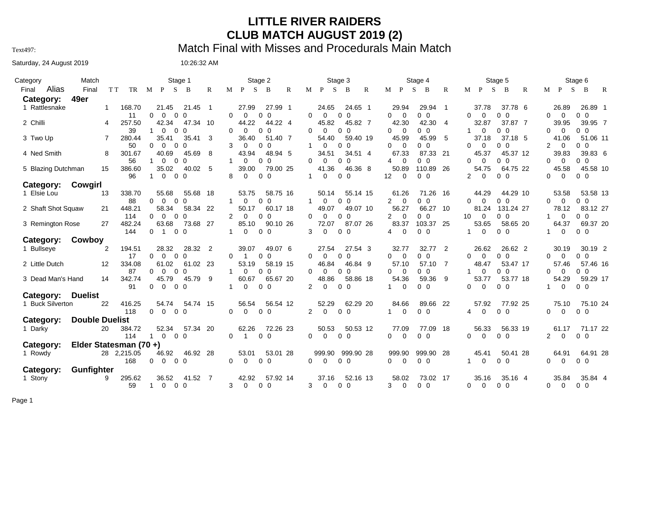## **LITTLE RIVER RAIDERS CLUB MATCH AUGUST 2019 (2)**

Text497: Match Final with Misses and Procedurals Main Match

## Saturday, 24 August 2019 10:26:32 AM

| Category                    | Match                  |                    | Stage 1                                                                 | Stage 2                                                                        | Stage 3                                                                 | Stage 4                                                                            | Stage 5                                                               | Stage 6                                                                 |
|-----------------------------|------------------------|--------------------|-------------------------------------------------------------------------|--------------------------------------------------------------------------------|-------------------------------------------------------------------------|------------------------------------------------------------------------------------|-----------------------------------------------------------------------|-------------------------------------------------------------------------|
| Alias<br>Final<br>Category: | Final<br>49er          | T T<br>TR          | M P S B                                                                 | R<br>$M$ $P$ $S$<br>$\mathbb{R}$<br>$\overline{B}$                             | M P S<br>$\overline{B}$<br>R                                            | M P S<br>$\overline{B}$<br>$\mathbb{R}$                                            | M P S<br>$\,$ B<br>$\mathbb{R}$                                       | $M$ $P$<br>$S$ B<br>$\mathbb{R}$                                        |
| 1 Rattlesnake               | 1                      | 168.70<br>11       | 21.45<br>21.45<br>$\Omega$<br>0 <sub>0</sub><br>0                       | 27.99<br>27.99 1<br>$\overline{\mathbf{1}}$<br>0<br>$\Omega$<br>0 <sub>0</sub> | 24.65<br>24.65 1<br>0<br>$\Omega$<br>0 <sub>0</sub>                     | 29.94<br>29.94 1<br>0 <sub>0</sub><br>$\overline{0}$<br>0                          | 37.78<br>37.78 6<br>$\Omega$<br>$\Omega$<br>0 <sub>0</sub>            | 26.89<br>26.89 1<br>0 <sub>0</sub><br>$\Omega$<br>0                     |
| 2 Chilli                    | 4                      | 257.50<br>39       | 42.34<br>47.34 10<br>$\Omega$<br>$\Omega$<br>$\Omega$<br>1.             | 44.22<br>44.22 4<br>$\Omega$<br>0 <sub>0</sub><br>0                            | 45.82<br>45.82 7<br>$\Omega$<br>0 <sub>0</sub><br>0                     | 42.30<br>42.30<br>4<br>0 <sub>0</sub><br>0<br>$\overline{0}$                       | 32.87<br>37.87 7<br>0 <sub>0</sub><br>$\Omega$<br>1                   | 39.95 7<br>39.95<br>0 <sub>0</sub><br>$\Omega$<br>0                     |
| 3 Two Up                    | 7                      | 280.44<br>50       | 35.41<br>35.41<br>$\Omega$<br>$\Omega$<br>$\Omega$<br>$\Omega$          | 3<br>36.40<br>51.40 7<br>3<br>$\Omega$<br>0 <sub>0</sub>                       | 54.40<br>59.40 19<br>$\Omega$<br>0 <sub>0</sub>                         | 45.99<br>45.99<br>5<br>0<br>- 0<br>00                                              | 37.18 5<br>37.18<br>$\Omega$<br>00<br>0                               | 41.06<br>51.06 11<br>2<br>$\Omega$<br>$0\quad 0$                        |
| 4 Ned Smith                 | 8                      | 301.67<br>56       | 40.69<br>45.69<br>$\Omega$<br>$\Omega$<br>$\mathbf{1}$<br>$\Omega$      | 8<br>43.94<br>48.94 5<br>$\Omega$<br>0 <sub>0</sub><br>1                       | 34.51<br>34.51 4<br>0<br>$\Omega$<br>0 <sub>0</sub>                     | 67.33<br>87.33 21<br>- 0<br>ი ი<br>4                                               | 45.37 12<br>45.37<br>$\Omega$<br>$0\quad 0$<br>0                      | 39.83<br>39.83 6<br>$\Omega$<br>$0\quad 0$<br>0                         |
| 5 Blazing Dutchman          | 15                     | 386.60<br>96       | 35.02<br>40.02<br>$\mathbf{0}$<br>$0\quad 0$<br>1.                      | 5<br>39.00<br>79.00 25<br>0 <sub>0</sub><br>8<br>0                             | 41.36<br>46.36 8<br>0 <sub>0</sub><br>0<br>$\mathbf{1}$                 | 50.89<br>110.89 26<br>$12 \overline{ }$<br>$\overline{0}$<br>0 <sub>0</sub>        | 54.75<br>64.75 22<br>2<br>$\Omega$<br>0 <sub>0</sub>                  | 45.58<br>45.58 10<br>0 <sub>0</sub><br>$\Omega$<br>0                    |
| Category:                   | Cowgirl                |                    |                                                                         |                                                                                |                                                                         |                                                                                    |                                                                       |                                                                         |
| 1 Elsie Lou                 | 13                     | 338.70<br>88       | 55.68<br>55.68 18<br>$\Omega$<br>0 <sub>0</sub><br>$\Omega$             | 53.75<br>58.75 16<br>1<br>0<br>0 <sub>0</sub>                                  | 50.14<br>55.14 15<br>0 <sub>0</sub><br>$\mathbf{1}$<br>$\mathbf 0$      | 61.26<br>71.26 16<br>$\overline{2}$<br>$\overline{0}$<br>0 <sub>0</sub>            | 44.29<br>44.29 10<br>0<br>$\Omega$<br>$0\quad 0$                      | 53.58<br>53.58 13<br>0 <sub>0</sub><br>0<br>$\Omega$                    |
| 2 Shaft Shot Squaw          | 21                     | 448.21<br>114      | 58.34<br>58.34 22<br>$\Omega$<br>$\Omega$<br>0 <sub>0</sub>             | 50.17<br>60.17 18<br>$\mathbf{2}^{\circ}$<br>$\Omega$<br>0 <sub>0</sub>        | 49.07<br>49.07 10<br>$\Omega$<br>$\Omega$<br>0 <sub>0</sub>             | 56.27<br>66.27 10<br>$\overline{2}$<br>$\overline{0}$<br>0 <sub>0</sub>            | 81.24<br>131.24 27<br>10<br>$\Omega$<br>0 <sub>0</sub>                | 83.12 27<br>78.12<br>$0\quad 0$<br>$\Omega$                             |
| 3 Remington Rose            | 27                     | 482.24<br>144      | 63.68<br>73.68 27<br>$\overline{1}$<br>$0\quad 0$<br>0                  | 85.10<br>90.10 26<br>$\mathbf 0$<br>0 <sub>0</sub><br>1                        | 72.07<br>87.07 26<br>3<br>$\Omega$<br>0 <sub>0</sub>                    | 83.37<br>103.37 25<br>$\overline{0}$<br>0 <sub>0</sub><br>4                        | 53.65<br>58.65 20<br>0 <sub>0</sub><br>$\Omega$<br>1                  | 69.37 20<br>64.37<br>0 <sub>0</sub><br>0<br>1                           |
| Category:                   | Cowboy                 |                    |                                                                         |                                                                                |                                                                         |                                                                                    |                                                                       |                                                                         |
| 1 Bullseye                  | 2                      | 194.51<br>17       | 28.32<br>28.32 2<br>0 <sub>0</sub><br>$\Omega$<br>$\Omega$              | 39.07<br>49.07 6<br>0<br>0 <sub>0</sub><br>$\mathbf{1}$                        | 27.54<br>27.54 3<br>$\Omega$<br>0 <sub>0</sub><br>0                     | 32.77<br>32.77 2<br>$\overline{0}$<br>0 <sub>0</sub><br>0                          | 26.62<br>26.62 2<br>$\Omega$<br>$\Omega$<br>0 <sub>0</sub>            | 30.19<br>30.19 2<br>0 <sub>0</sub><br>0<br>0                            |
| 2 Little Dutch              | 12                     | 334.08<br>87       | 61.02<br>61.02 23<br>$\Omega$<br>$\Omega$<br>$\overline{0}$<br>$\Omega$ | 53.19<br>58.19 15<br>$\Omega$<br>$0\quad 0$<br>$\mathbf{1}$                    | 46.84<br>46.84 9<br>$\Omega$<br>$\Omega$<br>0 <sub>0</sub>              | 57.10 7<br>57.10<br>$\Omega$<br>$\overline{0}$<br>0 <sub>0</sub>                   | 53.47 17<br>48.47<br>$\Omega$<br>$\overline{0}$<br>1<br>0             | 57.46 16<br>57.46<br>$\Omega$<br>$0\quad 0$<br>0                        |
| 3 Dead Man's Hand           | 14                     | 342.74<br>91       | 45.79<br>45.79<br>$\overline{0}$<br>0 <sub>0</sub><br>0                 | 60.67<br>65.67 20<br>9<br>$\mathbf 0$<br>0 <sub>0</sub><br>1                   | 48.86<br>58.86 18<br>$\overline{2}$<br>0 <sub>0</sub><br>$\overline{0}$ | 54.36<br>59.36<br>9<br>$\overline{0}$<br>0 <sub>0</sub><br>1                       | 53.77<br>53.77 18<br>0<br>$\Omega$<br>$0\quad 0$                      | 54.29<br>59.29 17<br>0 <sub>0</sub><br>$\mathbf 0$<br>1.                |
| Category:                   | <b>Duelist</b>         |                    |                                                                         |                                                                                |                                                                         |                                                                                    |                                                                       |                                                                         |
| 1 Buck Silverton            | 22                     | 416.25<br>118      | 54.74<br>54.74 15<br>$\overline{0}$<br>$\mathbf{0}$<br>0 <sub>0</sub>   | 56.54<br>56.54 12<br>$\overline{0}$<br>0 <sub>0</sub><br>$\mathbf 0$           | 52.29<br>62.29 20<br>$\overline{2}$<br>0 <sub>0</sub><br>$\mathbf 0$    | 84.66<br>89.66 22<br>0 <sub>0</sub><br>$\overline{0}$<br>1                         | 77.92 25<br>57.92<br>$\mathbf 0$<br>0 <sub>0</sub><br>4               | 75.10 24<br>75.10<br>$\mathbf 0$<br>0 <sub>0</sub><br>0                 |
| Category:                   | <b>Double Duelist</b>  |                    |                                                                         |                                                                                |                                                                         |                                                                                    |                                                                       |                                                                         |
| 1 Darky                     | 20                     | 384.72<br>114      | 52.34<br>57.34 20<br>$\overline{0}$<br>0 <sub>0</sub><br>$\mathbf{1}$   | 62.26<br>72.26 23<br>$\mathbf 0$<br>0 <sub>0</sub><br>$\mathbf{1}$             | 50.53<br>50.53 12<br>$\overline{0}$<br>0 <sub>0</sub><br>$\overline{0}$ | 77.09<br>77.09 18<br>$\overline{0}$<br>$\overline{0}$<br>0 <sub>0</sub>            | 56.33<br>56.33 19<br>$\Omega$<br>$\overline{0}$<br>0 <sub>0</sub>     | 71.17 22<br>61.17<br>$\overline{2}$<br>$\overline{0}$<br>0 <sub>0</sub> |
| Category:                   | Elder Statesman (70 +) |                    |                                                                         |                                                                                |                                                                         |                                                                                    |                                                                       |                                                                         |
| 1 Rowdy                     |                        | 28 2,215.05<br>168 | 46.92<br>46.92 28<br>0<br>$\overline{0}$<br>0 <sub>0</sub>              | 53.01<br>53.01 28<br>0<br>$\mathbf 0$<br>0 <sub>0</sub>                        | 999.90<br>999.90 28<br>0<br>$\mathbf{0}$<br>0 <sub>0</sub>              | 999.90<br>999.90 28<br>$\overline{0}$<br>$\overline{\mathbf{0}}$<br>0 <sub>0</sub> | 45.41<br>50.41 28<br>$\overline{0}$<br>0 <sub>0</sub><br>$\mathbf{1}$ | 64.91<br>64.91 28<br>0<br>$\mathbf 0$<br>0 <sub>0</sub>                 |
| Category:                   | <b>Gunfighter</b>      |                    |                                                                         |                                                                                |                                                                         |                                                                                    |                                                                       |                                                                         |
| 1 Stony                     | 9                      | 295.62<br>59       | 41.52 7<br>36.52<br>$\overline{0}$<br>0 <sub>0</sub><br>1               | 42.92<br>57.92 14<br>3<br>$\mathbf 0$<br>0 <sub>0</sub>                        | 37.16<br>52.16 13<br>3<br>$\mathbf 0$<br>0 <sub>0</sub>                 | 58.02<br>73.02 17<br>3<br>$\overline{0}$<br>0 <sub>0</sub>                         | 35.16<br>35.16 4<br>$\Omega$<br>0 <sub>0</sub><br>0                   | 35.84<br>35.84 4<br>$0\quad 0$<br>0<br>$\Omega$                         |

Page 1